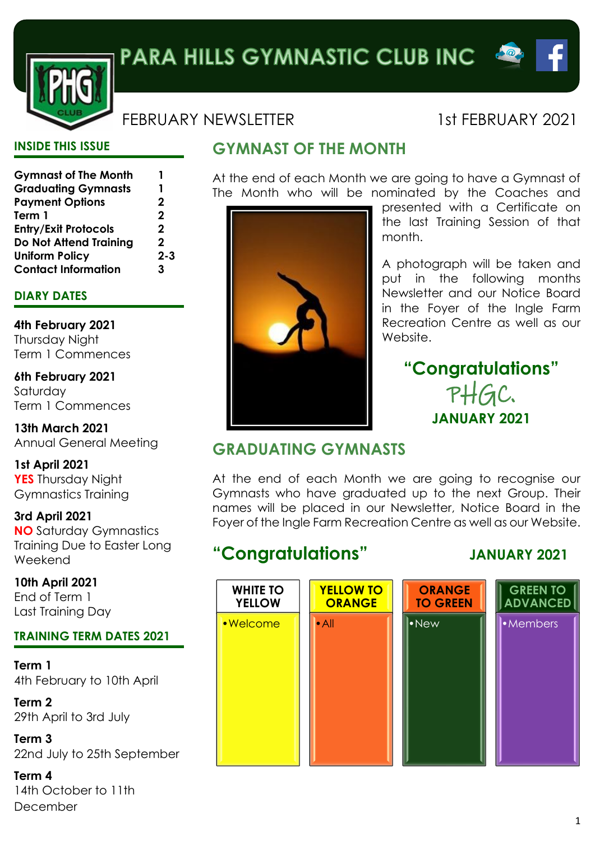



## FEBRUARY NEWSLETTER 1st FEBRUARY 2021

#### **INSIDE THIS ISSUE**

| <b>Gymnast of The Month</b>   | 1           |
|-------------------------------|-------------|
|                               |             |
| <b>Graduating Gymnasts</b>    | 1           |
| <b>Payment Options</b>        | $\mathbf 2$ |
| Term 1                        | $\mathbf 2$ |
| <b>Entry/Exit Protocols</b>   | $\mathbf 2$ |
| <b>Do Not Attend Training</b> | $\mathbf 2$ |
| <b>Uniform Policy</b>         | $2 - 3$     |
| <b>Contact Information</b>    | 3           |

#### **DIARY DATES**

**4th February 2021** Thursday Night Term 1 Commences

**6th February 2021** Saturday Term 1 Commences

**13th March 2021** Annual General Meeting

**1st April 2021 YES** Thursday Night Gymnastics Training

**3rd April 2021 NO** Saturday Gymnastics Training Due to Easter Long Weekend

**10th April 2021** End of Term 1 Last Training Day

#### **TRAINING TERM DATES 2021**

**Term 1** 4th February to 10th April

**Term 2** 29th April to 3rd July

**Term 3** 22nd July to 25th September

**Term 4** 14th October to 11th December

# **GYMNAST OF THE MONTH**

At the end of each Month we are going to have a Gymnast of The Month who will be nominated by the Coaches and



presented with a Certificate on the last Training Session of that month.

A photograph will be taken and put in the following months Newsletter and our Notice Board in the Foyer of the Ingle Farm Recreation Centre as well as our Website.

# **"Congratulations"** PHGC. **JANUARY 2021**

## **GRADUATING GYMNASTS**

At the end of each Month we are going to recognise our Gymnasts who have graduated up to the next Group. Their names will be placed in our Newsletter, Notice Board in the Foyer of the Ingle Farm Recreation Centre as well as our Website.

# **"Congratulations" JANUARY 2021**

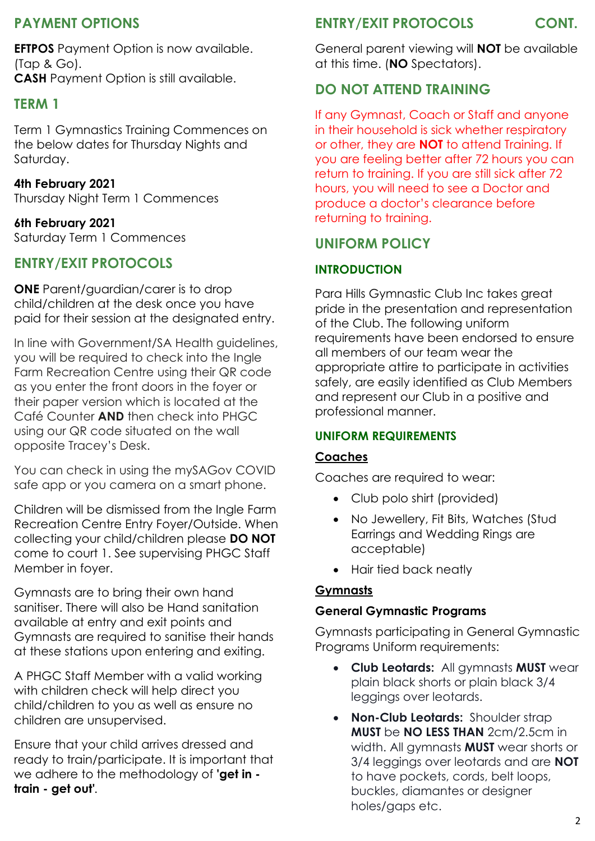## **PAYMENT OPTIONS**

**EFTPOS** Payment Option is now available. (Tap & Go). **CASH** Payment Option is still available.

### **TERM 1**

Term 1 Gymnastics Training Commences on the below dates for Thursday Nights and Saturday.

#### **4th February 2021**

Thursday Night Term 1 Commences

#### **6th February 2021**

Saturday Term 1 Commences

## **ENTRY/EXIT PROTOCOLS**

**ONE** Parent/guardian/carer is to drop child/children at the desk once you have paid for their session at the designated entry.

In line with Government/SA Health guidelines, you will be required to check into the Ingle Farm Recreation Centre using their QR code as you enter the front doors in the foyer or their paper version which is located at the Café Counter **AND** then check into PHGC using our QR code situated on the wall opposite Tracey's Desk.

You can check in using the mySAGov COVID safe app or you camera on a smart phone.

Children will be dismissed from the Ingle Farm Recreation Centre Entry Foyer/Outside. When collecting your child/children please **DO NOT** come to court 1. See supervising PHGC Staff Member in foyer.

Gymnasts are to bring their own hand sanitiser. There will also be Hand sanitation available at entry and exit points and Gymnasts are required to sanitise their hands at these stations upon entering and exiting.

A PHGC Staff Member with a valid working with children check will help direct you child/children to you as well as ensure no children are unsupervised.

Ensure that your child arrives dressed and ready to train/participate. It is important that we adhere to the methodology of **'get in train - get out'***.*

#### **ENTRY/EXIT PROTOCOLS CONT.**

General parent viewing will **NOT** be available at this time. (**NO** Spectators).

## **DO NOT ATTEND TRAINING**

If any Gymnast, Coach or Staff and anyone in their household is sick whether respiratory or other, they are **NOT** to attend Training. If you are feeling better after 72 hours you can return to training. If you are still sick after 72 hours, you will need to see a Doctor and produce a doctor's clearance before returning to training.

## **UNIFORM POLICY**

#### **INTRODUCTION**

Para Hills Gymnastic Club Inc takes great pride in the presentation and representation of the Club. The following uniform requirements have been endorsed to ensure all members of our team wear the appropriate attire to participate in activities safely, are easily identified as Club Members and represent our Club in a positive and professional manner.

#### **UNIFORM REQUIREMENTS**

#### **Coaches**

Coaches are required to wear:

- Club polo shirt (provided)
- No Jewellery, Fit Bits, Watches (Stud Earrings and Wedding Rings are acceptable)
- Hair tied back neatly

#### **Gymnasts**

#### **General Gymnastic Programs**

Gymnasts participating in General Gymnastic Programs Uniform requirements:

- **Club Leotards:** All gymnasts **MUST** wear plain black shorts or plain black 3/4 leggings over leotards.
- **Non-Club Leotards:** Shoulder strap **MUST** be **NO LESS THAN** 2cm/2.5cm in width. All gymnasts **MUST** wear shorts or 3/4 leggings over leotards and are **NOT** to have pockets, cords, belt loops, buckles, diamantes or designer holes/gaps etc.